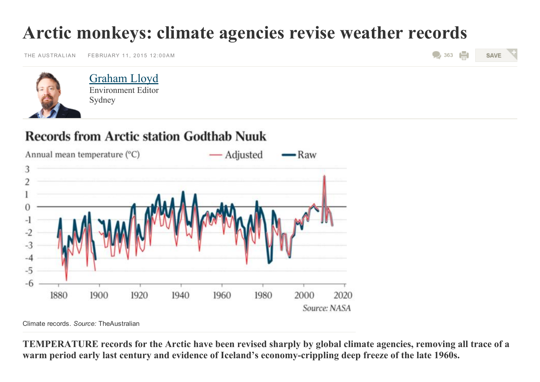## Arctic monkeys: climate agencies revise weather records

THE [AUSTRALIAN](http://www.theaustralian.com.au/) FEBRUARY 11, 2015 12:00AM

```
\bigcirc363
    SAVE
```


Environment Editor Sydney [Graham](http://www.theaustralian.com.au/author/Graham+Lloyd) Lloyd

## **Records from Arctic station Godthab Nuuk**



Climate records. *Source:* TheAustralian

TEMPERATURE records for the Arctic have been revised sharply by global climate agencies, removing all trace of a warm period early last century and evidence of Iceland's economy-crippling deep freeze of the late 1960s.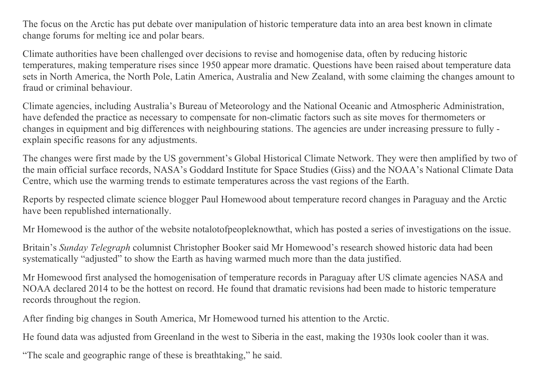The focus on the Arctic has put debate over manipulation of historic temperature data into an area best known in climate change forums for melting ice and polar bears.

Climate authorities have been challenged over decisions to revise and homogenise data, often by reducing historic temperatures, making temperature rises since 1950 appear more dramatic. Questions have been raised about temperature data sets in North America, the North Pole, Latin America, Australia and New Zealand, with some claiming the changes amount to fraud or criminal behaviour.

Climate agencies, including Australia's Bureau of Meteorology and the National Oceanic and Atmospheric Administration, have defended the practice as necessary to compensate for non-climatic factors such as site moves for thermometers or changes in equipment and big differences with neighbouring stations. The agencies are under increasing pressure to fully explain specific reasons for any adjustments.

The changes were first made by the US government's Global Historical Climate Network. They were then amplified by two of the main official surface records, NASA's Goddard Institute for Space Studies (Giss) and the NOAA's National Climate Data Centre, which use the warming trends to estimate temperatures across the vast regions of the Earth.

Reports by respected climate science blogger Paul Homewood about temperature record changes in Paraguay and the Arctic have been republished internationally.

Mr Homewood is the author of the website notalotofpeopleknowthat, which has posted a series of investigations on the issue.

Britain's Sunday Telegraph columnist Christopher Booker said Mr Homewood's research showed historic data had been systematically "adjusted" to show the Earth as having warmed much more than the data justified.

Mr Homewood first analysed the homogenisation of temperature records in Paraguay after US climate agencies NASA and NOAA declared 2014 to be the hottest on record. He found that dramatic revisions had been made to historic temperature records throughout the region.

After finding big changes in South America, Mr Homewood turned his attention to the Arctic.

He found data was adjusted from Greenland in the west to Siberia in the east, making the 1930s look cooler than it was.

"The scale and geographic range of these is breathtaking," he said.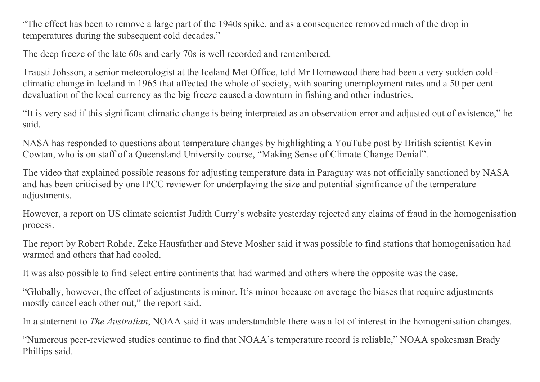"The effect has been to remove a large part of the 1940s spike, and as a consequence removed much of the drop in temperatures during the subsequent cold decades."

The deep freeze of the late 60s and early 70s is well recorded and remembered.

Trausti Johsson, a senior meteorologist at the Iceland Met Office, told Mr Homewood there had been a very sudden cold climatic change in Iceland in 1965 that affected the whole of society, with soaring unemployment rates and a 50 per cent devaluation of the local currency as the big freeze caused a downturn in fishing and other industries.

"It is very sad if this significant climatic change is being interpreted as an observation error and adjusted out of existence," he said.

NASA has responded to questions about temperature changes by highlighting a YouTube post by British scientist Kevin Cowtan, who is on staff of a Queensland University course, "Making Sense of Climate Change Denial".

The video that explained possible reasons for adjusting temperature data in Paraguay was not officially sanctioned by NASA and has been criticised by one IPCC reviewer for underplaying the size and potential significance of the temperature adjustments.

However, a report on US climate scientist Judith Curry's website yesterday rejected any claims of fraud in the homogenisation process.

The report by Robert Rohde, Zeke Hausfather and Steve Mosher said it was possible to find stations that homogenisation had warmed and others that had cooled.

It was also possible to find select entire continents that had warmed and others where the opposite was the case.

"Globally, however, the effect of adjustments is minor. It's minor because on average the biases that require adjustments mostly cancel each other out," the report said.

In a statement to *The Australian*, NOAA said it was understandable there was a lot of interest in the homogenisation changes.

"Numerous peer-reviewed studies continue to find that NOAA's temperature record is reliable," NOAA spokesman Brady Phillips said.